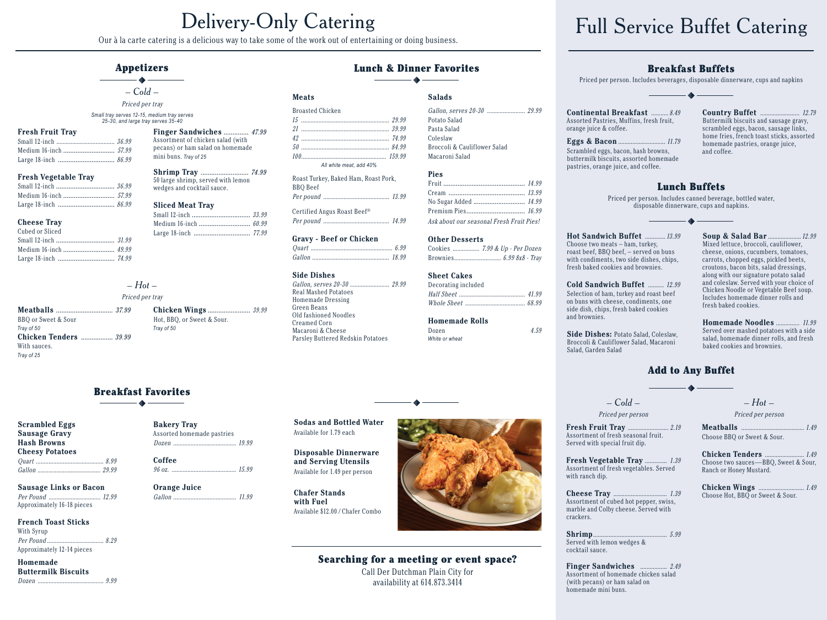Our à la carte catering is a delicious way to take some of the work out of entertaining or doing business.

### **Appetizers**

 $\bullet$   $-$  Cold  $-$ 

Priced per tray

Small tray serves 12-15, medium tray serves 25-30, and large tray serves 35-40

### **Fresh Fruit Trav**

### **Fresh Vegetable Tray**

### **Cheese Trav**

| Cubed or Sliced |  |
|-----------------|--|
|                 |  |
|                 |  |
|                 |  |

### $-Hot-$

### Priced per tray

BBQ or Sweet & Sour Tray of 50 **Chicken Tenders .................** 39.99 With sauces. Trav of 25

Chicken Wings ........................ 39.99 Hot, BBQ, or Sweet & Sour. Tray of 50

**Bakery Trav** 

Orange Juice

Coffee

Assorted homemade pastries

Finger Sandwiches ............... 47.99

**Shrimp Tray** ............................ 74.99

Assortment of chicken salad (with

mini buns. Tray of 25

pecans) or ham salad on homemade

50 large shrimp, served with lemon

wedges and cocktail sauce.

**Sliced Meat Tray** 

### **Breakfast Favorites**

**Scrambled Eggs Sausage Gravy Hash Browns Cheesy Potatoes** 

**Sausage Links or Bacon** Approximately 16-18 pieces

### **French Toast Sticks** With Syrup

Approximately 12-14 pieces

Homemade **Buttermilk Biscuits** 

### **Lunch & Dinner Favorites**  $\overline{\phantom{a}}$  and  $\overline{\phantom{a}}$

### **Meats**

| <b>Broasted Chicken</b> |  |
|-------------------------|--|
|                         |  |
|                         |  |
|                         |  |
|                         |  |
|                         |  |
| All white meat, add 40% |  |

Roast Turkey, Baked Ham, Roast Pork, **BBO** Beef Per pound ..........  $13.99$ 

Certified Angus Roast Beef® 

### **Gravy - Beef or Chicken**

 $Gallon$  18.99

### **Side Dishes**

**Real Mashed Potatoes** Homemade Dressing Green Beans Old fashioned Noodles Creamed Corn Macaroni & Cheese Parsley Buttered Redskin Potatoes

### Gallon, serves 20-30 ........................ 29.99 Potato Salad Pasta Salad Coleslaw Broccoli & Cauliflower Salad Macaroni Salad

### **Pies**

**Salads** 

Ask about our seasonal Fresh Fruit Pies!

### **Other Desserts**

Gallon, serves 20-30 ................................. 29.99

# 

| <b>Sheet Cakes</b>  |  |
|---------------------|--|
| Decorating included |  |
|                     |  |
|                     |  |
|                     |  |

4.59

### **Homemade Rolls**

Dozen White or wheat

### Side Dishes: Potato Salad, Coleslaw. Broccoli & Cauliflower Salad, Macaroni Salad, Garden Salad

### fresh baked cookies. **Homemade Noodles** .....  $... 11.99$ Served over mashed potatoes with a side salad, homemade dinner rolls, and fresh baked cookies and brownies.

 $... 12.99$ 

 $.1.49$ 

### **Add to Any Buffet**

 $-$  Cold  $-$ Priced per person

Fresh Fruit Trav ........  $.... 2.19$ Assortment of fresh seasonal fruit. Served with special fruit dip.

Assortment of fresh vegetables. Served with ranch dip.

Cheese Trav  $1.39$ Assortment of cubed hot pepper, swiss, marble and Colby cheese. Served with crackers.

Choose Hot, BBQ or Sweet & Sour.

## Searching for a meeting or event space?

Call Der Dutchman Plain City for availability at 614.873.3414



# **Full Service Buffet Catering**



on buns with cheese, condiments, one side dish, chips, fresh baked cookies and brownies

 $-Hot-$ Priced per person

Meatballs .......  $.1.49$ Choose BBO or Sweet & Sour.

**Chicken Tenders .......** Choose two sauces-BBQ, Sweet & Sour,

Ranch or Honey Mustard.

Chicken Wings ..........  $1.49$ 

 $\frac{5.99}{2}$ Served with lemon wedges &

cocktail sauce. Finger Sandwiches ........  $... 2.49$ 

Assortment of homemade chicken salad (with pecans) or ham salad on homemade mini buns.

# **Sodas and Bottled Water** Available for 1.79 each

and Serving Utensils Available for 1.49 per person

**Chafer Stands** with Fuel

**Disposable Dinnerware** 

Available \$12.00 / Chafer Combo